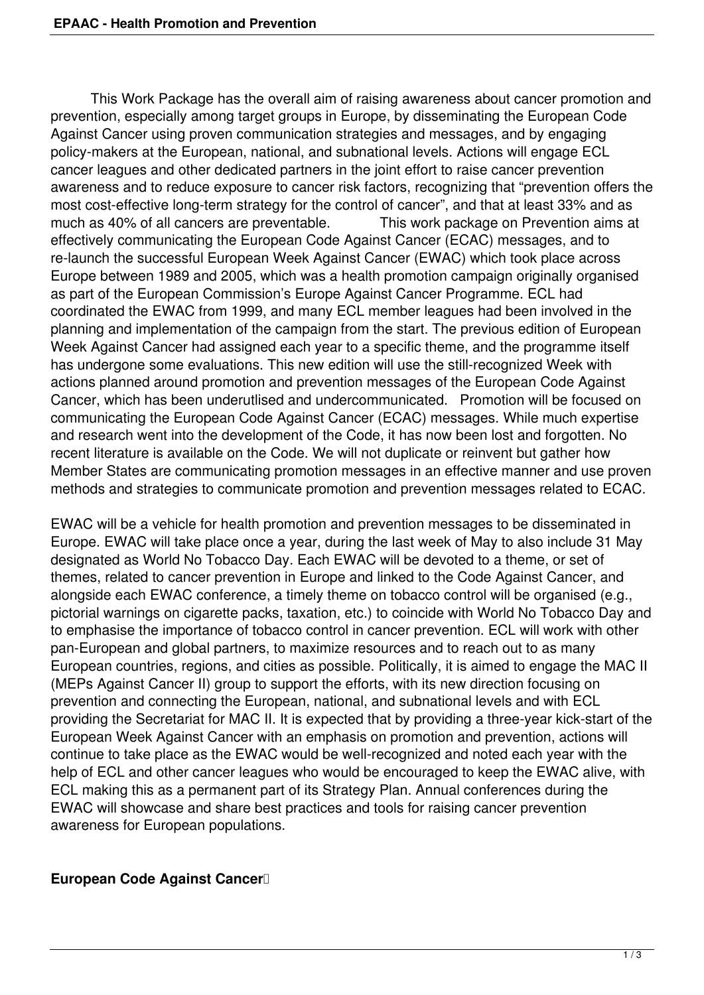This Work Package has the overall aim of raising awareness about cancer promotion and prevention, especially among target groups in Europe, by disseminating the European Code Against Cancer using proven communication strategies and messages, and by engaging policy-makers at the European, national, and subnational levels. Actions will engage ECL cancer leagues and other dedicated partners in the joint effort to raise cancer prevention awareness and to reduce exposure to cancer risk factors, recognizing that "prevention offers the most cost-effective long-term strategy for the control of cancer", and that at least 33% and as much as 40% of all cancers are preventable. This work package on Prevention aims at effectively communicating the European Code Against Cancer (ECAC) messages, and to re-launch the successful European Week Against Cancer (EWAC) which took place across Europe between 1989 and 2005, which was a health promotion campaign originally organised as part of the European Commission's Europe Against Cancer Programme. ECL had coordinated the EWAC from 1999, and many ECL member leagues had been involved in the planning and implementation of the campaign from the start. The previous edition of European Week Against Cancer had assigned each year to a specific theme, and the programme itself has undergone some evaluations. This new edition will use the still-recognized Week with actions planned around promotion and prevention messages of the European Code Against Cancer, which has been underutlised and undercommunicated. Promotion will be focused on communicating the European Code Against Cancer (ECAC) messages. While much expertise and research went into the development of the Code, it has now been lost and forgotten. No recent literature is available on the Code. We will not duplicate or reinvent but gather how Member States are communicating promotion messages in an effective manner and use proven methods and strategies to communicate promotion and prevention messages related to ECAC.

EWAC will be a vehicle for health promotion and prevention messages to be disseminated in Europe. EWAC will take place once a year, during the last week of May to also include 31 May designated as World No Tobacco Day. Each EWAC will be devoted to a theme, or set of themes, related to cancer prevention in Europe and linked to the Code Against Cancer, and alongside each EWAC conference, a timely theme on tobacco control will be organised (e.g., pictorial warnings on cigarette packs, taxation, etc.) to coincide with World No Tobacco Day and to emphasise the importance of tobacco control in cancer prevention. ECL will work with other pan-European and global partners, to maximize resources and to reach out to as many European countries, regions, and cities as possible. Politically, it is aimed to engage the MAC II (MEPs Against Cancer II) group to support the efforts, with its new direction focusing on prevention and connecting the European, national, and subnational levels and with ECL providing the Secretariat for MAC II. It is expected that by providing a three-year kick-start of the European Week Against Cancer with an emphasis on promotion and prevention, actions will continue to take place as the EWAC would be well-recognized and noted each year with the help of ECL and other cancer leagues who would be encouraged to keep the EWAC alive, with ECL making this as a permanent part of its Strategy Plan. Annual conferences during the EWAC will showcase and share best practices and tools for raising cancer prevention awareness for European populations.

## **European Code Against Cancer**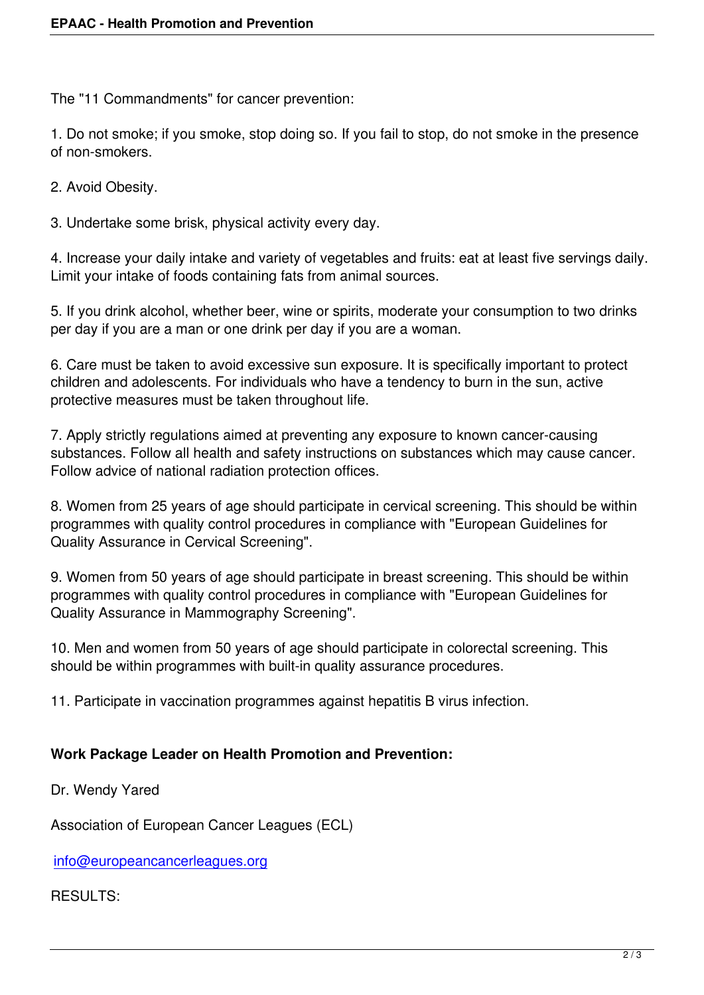The "11 Commandments" for cancer prevention:

1. Do not smoke; if you smoke, stop doing so. If you fail to stop, do not smoke in the presence of non-smokers.

2. Avoid Obesity.

3. Undertake some brisk, physical activity every day.

4. Increase your daily intake and variety of vegetables and fruits: eat at least five servings daily. Limit your intake of foods containing fats from animal sources.

5. If you drink alcohol, whether beer, wine or spirits, moderate your consumption to two drinks per day if you are a man or one drink per day if you are a woman.

6. Care must be taken to avoid excessive sun exposure. It is specifically important to protect children and adolescents. For individuals who have a tendency to burn in the sun, active protective measures must be taken throughout life.

7. Apply strictly regulations aimed at preventing any exposure to known cancer-causing substances. Follow all health and safety instructions on substances which may cause cancer. Follow advice of national radiation protection offices.

8. Women from 25 years of age should participate in cervical screening. This should be within programmes with quality control procedures in compliance with "European Guidelines for Quality Assurance in Cervical Screening".

9. Women from 50 years of age should participate in breast screening. This should be within programmes with quality control procedures in compliance with "European Guidelines for Quality Assurance in Mammography Screening".

10. Men and women from 50 years of age should participate in colorectal screening. This should be within programmes with built-in quality assurance procedures.

11. Participate in vaccination programmes against hepatitis B virus infection.

## **Work Package Leader on Health Promotion and Prevention:**

Dr. Wendy Yared

Association of European Cancer Leagues (ECL)

info@europeancancerleagues.org

## RESULTS: